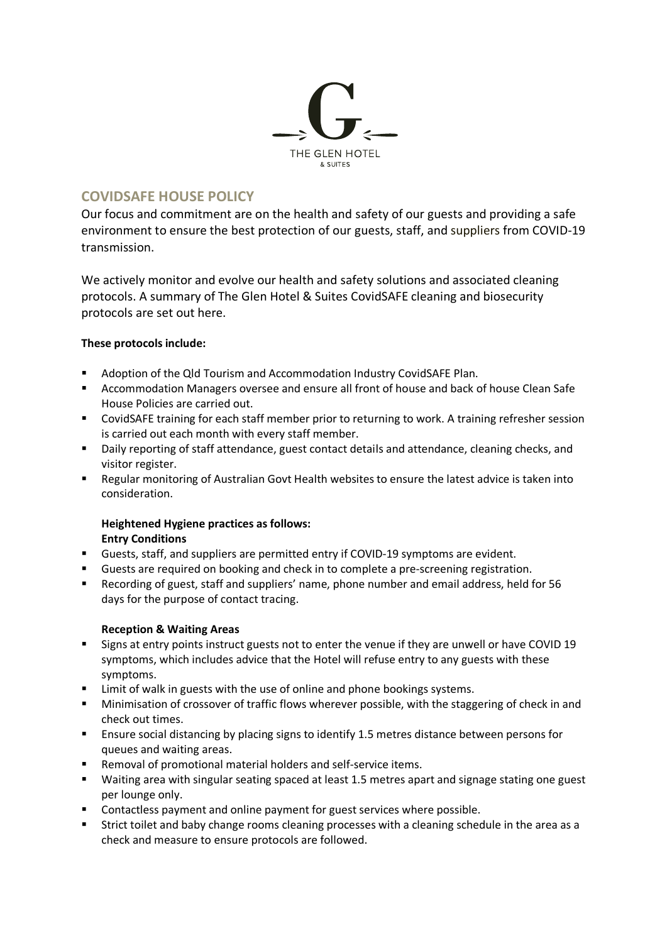

# **COVIDSAFE HOUSE POLICY**

Our focus and commitment are on the health and safety of our guests and providing a safe environment to ensure the best protection of our guests, staff, and suppliers from COVID-19 transmission.

We actively monitor and evolve our health and safety solutions and associated cleaning protocols. A summary of The Glen Hotel & Suites CovidSAFE cleaning and biosecurity protocols are set out here.

## **These protocols include:**

- Adoption of the Qld Tourism and Accommodation Industry CovidSAFE Plan.
- Accommodation Managers oversee and ensure all front of house and back of house Clean Safe House Policies are carried out.
- CovidSAFE training for each staff member prior to returning to work. A training refresher session is carried out each month with every staff member.
- Daily reporting of staff attendance, guest contact details and attendance, cleaning checks, and visitor register.
- Regular monitoring of Australian Govt Health websites to ensure the latest advice is taken into consideration.

## **Heightened Hygiene practices as follows: Entry Conditions**

- § Guests, staff, and suppliers are permitted entry if COVID-19 symptoms are evident.
- § Guests are required on booking and check in to complete a pre-screening registration.
- Recording of guest, staff and suppliers' name, phone number and email address, held for 56 days for the purpose of contact tracing.

## **Reception & Waiting Areas**

- § Signs at entry points instruct guests not to enter the venue if they are unwell or have COVID 19 symptoms, which includes advice that the Hotel will refuse entry to any guests with these symptoms.
- Limit of walk in guests with the use of online and phone bookings systems.
- Minimisation of crossover of traffic flows wherever possible, with the staggering of check in and check out times.
- Ensure social distancing by placing signs to identify 1.5 metres distance between persons for queues and waiting areas.
- Removal of promotional material holders and self-service items.
- Waiting area with singular seating spaced at least 1.5 metres apart and signage stating one guest per lounge only.
- Contactless payment and online payment for guest services where possible.
- § Strict toilet and baby change rooms cleaning processes with a cleaning schedule in the area as a check and measure to ensure protocols are followed.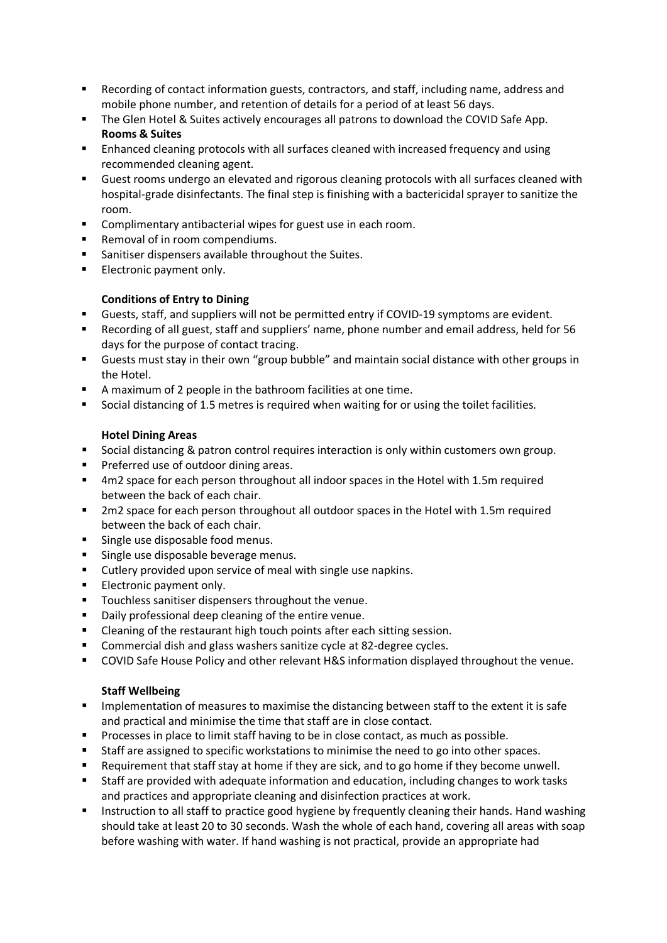- Recording of contact information guests, contractors, and staff, including name, address and mobile phone number, and retention of details for a period of at least 56 days.
- The Glen Hotel & Suites actively encourages all patrons to download the COVID Safe App. **Rooms & Suites**
- Enhanced cleaning protocols with all surfaces cleaned with increased frequency and using recommended cleaning agent.
- § Guest rooms undergo an elevated and rigorous cleaning protocols with all surfaces cleaned with hospital-grade disinfectants. The final step is finishing with a bactericidal sprayer to sanitize the room.
- Complimentary antibacterial wipes for guest use in each room.
- Removal of in room compendiums.
- Sanitiser dispensers available throughout the Suites.
- Electronic payment only.

## **Conditions of Entry to Dining**

- § Guests, staff, and suppliers will not be permitted entry if COVID-19 symptoms are evident.
- § Recording of all guest, staff and suppliers' name, phone number and email address, held for 56 days for the purpose of contact tracing.
- Guests must stay in their own "group bubble" and maintain social distance with other groups in the Hotel.
- A maximum of 2 people in the bathroom facilities at one time.
- Social distancing of 1.5 metres is required when waiting for or using the toilet facilities.

## **Hotel Dining Areas**

- Social distancing & patron control requires interaction is only within customers own group.
- Preferred use of outdoor dining areas.
- § 4m2 space for each person throughout all indoor spaces in the Hotel with 1.5m required between the back of each chair.
- 2m2 space for each person throughout all outdoor spaces in the Hotel with 1.5m required between the back of each chair.
- Single use disposable food menus.
- Single use disposable beverage menus.
- Cutlery provided upon service of meal with single use napkins.
- **Electronic payment only.**
- Touchless sanitiser dispensers throughout the venue.
- Daily professional deep cleaning of the entire venue.
- Cleaning of the restaurant high touch points after each sitting session.
- Commercial dish and glass washers sanitize cycle at 82-degree cycles.
- COVID Safe House Policy and other relevant H&S information displayed throughout the venue.

#### **Staff Wellbeing**

- Implementation of measures to maximise the distancing between staff to the extent it is safe and practical and minimise the time that staff are in close contact.
- § Processes in place to limit staff having to be in close contact, as much as possible.
- Staff are assigned to specific workstations to minimise the need to go into other spaces.
- § Requirement that staff stay at home if they are sick, and to go home if they become unwell.
- § Staff are provided with adequate information and education, including changes to work tasks and practices and appropriate cleaning and disinfection practices at work.
- **■** Instruction to all staff to practice good hygiene by frequently cleaning their hands. Hand washing should take at least 20 to 30 seconds. Wash the whole of each hand, covering all areas with soap before washing with water. If hand washing is not practical, provide an appropriate had